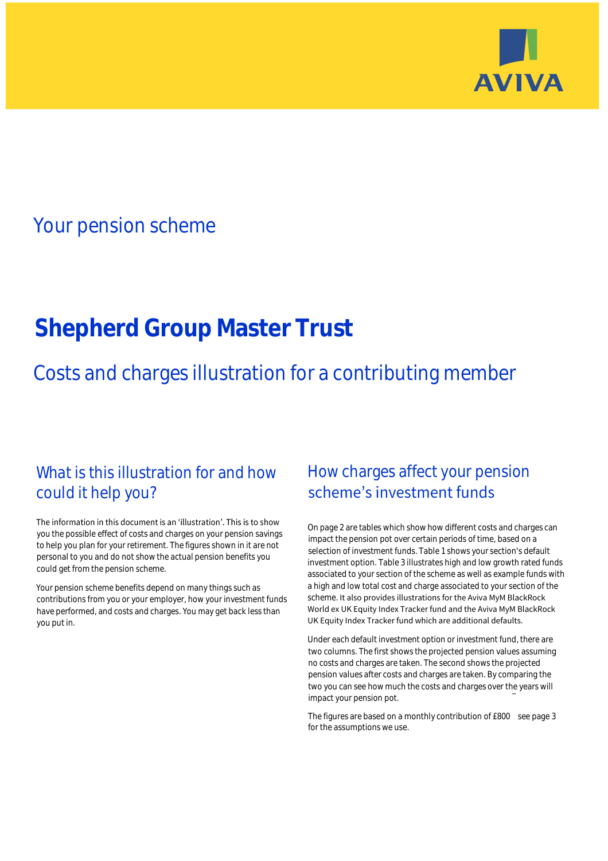

## Your pension scheme

# **Shepherd Group Master Trust**

Costs and charges illustration for a contributing member

### What is this illustration for and how could it help you?

#### The information in this document is an 'illustration'. This is to show you the possible effect of costs and charges on your pension savings to help you plan for your retirement. The figures shown in it are not personal to you and do not show the actual pension benefits you could get from the pension scheme.

Your pension scheme benefits depend on many things such as contributions from you or your employer, how your investment funds have performed, and costs and charges. You may get back less than you put in.

### How charges affect your pension scheme's investment funds

On page 2 are tables which show how different costs and charges can impact the pension pot over certain periods of time, based on a selection of investment funds. Table 1 shows your section's default investment option. Table 3 illustrates high and low growth rated funds associated to your section of the scheme as well as example funds with a high and low total cost and charge associated to your section of the scheme. It also provides illustrations for the Aviva MyM BlackRock World ex UK Equity Index Tracker fund and the Aviva MyM BlackRock UK Equity Index Tracker fund which are additional defaults.

Under each default investment option or investment fund, there are two columns. The first shows the projected pension values assuming no costs and charges are taken. The second shows the projected pension values after costs and charges are taken. By comparing the two you can see how much the costs and charges over the years will impact your pension pot.

The figures are based on a monthly contribution of £800 see page 3 for the assumptions we use.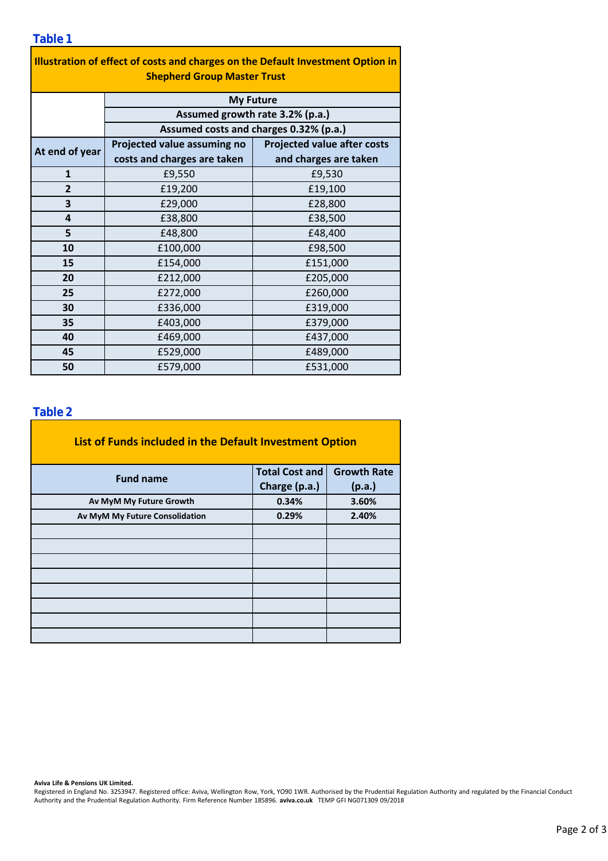| Illustration of effect of costs and charges on the Default Investment Option in<br><b>Shepherd Group Master Trust</b> |                                                                           |                                    |  |  |  |  |
|-----------------------------------------------------------------------------------------------------------------------|---------------------------------------------------------------------------|------------------------------------|--|--|--|--|
| <b>My Future</b>                                                                                                      |                                                                           |                                    |  |  |  |  |
|                                                                                                                       | Assumed growth rate 3.2% (p.a.)<br>Assumed costs and charges 0.32% (p.a.) |                                    |  |  |  |  |
|                                                                                                                       |                                                                           |                                    |  |  |  |  |
| At end of year                                                                                                        | Projected value assuming no                                               | <b>Projected value after costs</b> |  |  |  |  |
|                                                                                                                       | costs and charges are taken                                               | and charges are taken              |  |  |  |  |
| $\mathbf{1}$                                                                                                          | £9,550                                                                    | £9,530                             |  |  |  |  |
| $\overline{2}$                                                                                                        | £19,200                                                                   | £19,100                            |  |  |  |  |
| 3                                                                                                                     | £29,000                                                                   | £28,800                            |  |  |  |  |
| 4                                                                                                                     | £38,800                                                                   | £38,500                            |  |  |  |  |
| 5                                                                                                                     | £48,800                                                                   | £48,400                            |  |  |  |  |
| 10                                                                                                                    | £100,000                                                                  | £98,500                            |  |  |  |  |
| 15                                                                                                                    | £154,000                                                                  | £151,000                           |  |  |  |  |
| 20                                                                                                                    | £212,000                                                                  | £205,000                           |  |  |  |  |
| 25                                                                                                                    | £272,000                                                                  | £260,000                           |  |  |  |  |
| 30                                                                                                                    | £336,000                                                                  | £319,000                           |  |  |  |  |
| 35                                                                                                                    | £403,000                                                                  | £379,000                           |  |  |  |  |
| 40                                                                                                                    | £469,000                                                                  | £437,000                           |  |  |  |  |
| 45                                                                                                                    | £529,000                                                                  | £489,000                           |  |  |  |  |
| 50                                                                                                                    | £579,000                                                                  | £531,000                           |  |  |  |  |

#### **Table 2**

| List of Funds included in the Default Investment Option |                       |                    |  |  |  |
|---------------------------------------------------------|-----------------------|--------------------|--|--|--|
| <b>Fund name</b>                                        | <b>Total Cost and</b> | <b>Growth Rate</b> |  |  |  |
|                                                         | Charge (p.a.)         | (p.a.)             |  |  |  |
| Av MyM My Future Growth                                 | 0.34%                 | 3.60%              |  |  |  |
| Av MyM My Future Consolidation                          | 0.29%                 | 2.40%              |  |  |  |
|                                                         |                       |                    |  |  |  |
|                                                         |                       |                    |  |  |  |
|                                                         |                       |                    |  |  |  |
|                                                         |                       |                    |  |  |  |
|                                                         |                       |                    |  |  |  |
|                                                         |                       |                    |  |  |  |
|                                                         |                       |                    |  |  |  |
|                                                         |                       |                    |  |  |  |

**Aviva Life & Pensions UK Limited.**

Registered in England No. 3253947. Registered office: Aviva, Wellington Row, York, YO90 1WR. Authorised by the Prudential Regulation Authority and regulated by the Financial Conduct Authority and the Prudential Regulation Authority. Firm Reference Number 185896. **aviva.co.uk** TEMP GFI NG071309 09/2018